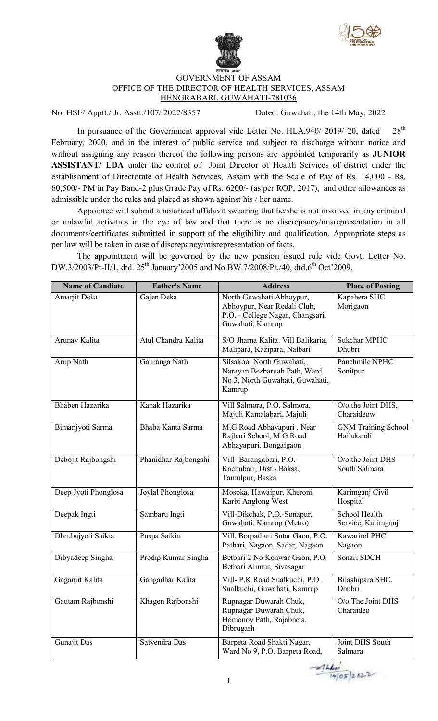



## GOVERNMENT OF ASSAM OFFICE OF THE DIRECTOR OF HEALTH SERVICES, ASSAM HENGRABARI, GUWAHATI-781036

No. HSE/ Apptt./ Jr. Asstt./107/ 2022/8357 Dated: Guwahati, the 14th May, 2022

In pursuance of the Government approval vide Letter No. HLA.940/ 2019/ 20, dated 28<sup>th</sup> February, 2020, and in the interest of public service and subject to discharge without notice and without assigning any reason thereof the following persons are appointed temporarily as **JUNIOR ASSISTANT/ LDA** under the control of Joint Director of Health Services of district under the establishment of Directorate of Health Services, Assam with the Scale of Pay of Rs. 14,000 - Rs. 60,500/- PM in Pay Band-2 plus Grade Pay of Rs. 6200/- (as per ROP, 2017), and other allowances as admissible under the rules and placed as shown against his / her name.

Appointee will submit a notarized affidavit swearing that he/she is not involved in any criminal or unlawful activities in the eye of law and that there is no discrepancy/misrepresentation in all documents/certificates submitted in support of the eligibility and qualification. Appropriate steps as per law will be taken in case of discrepancy/misrepresentation of facts.

The appointment will be governed by the new pension issued rule vide Govt. Letter No. DW.3/2003/Pt-II/1, dtd. 25<sup>th</sup> January'2005 and No.BW.7/2008/Pt./40, dtd.6<sup>th</sup> Oct'2009.

| <b>Name of Candiate</b> | <b>Father's Name</b> | <b>Address</b>                                                                                                  | <b>Place of Posting</b>                  |
|-------------------------|----------------------|-----------------------------------------------------------------------------------------------------------------|------------------------------------------|
| Amarjit Deka            | Gajen Deka           | North Guwahati Abhoypur,<br>Abhoypur, Near Rodali Club,<br>P.O. - College Nagar, Changsari,<br>Guwahati, Kamrup | Kapahera SHC<br>Morigaon                 |
| Arunav Kalita           | Atul Chandra Kalita  | S/O Jharna Kalita. Vill Balikaria,<br>Malipara, Kazipara, Nalbari                                               | <b>Sukchar MPHC</b><br>Dhubri            |
| Arup Nath               | Gauranga Nath        | Silsakoo, North Guwahati,<br>Narayan Bezbaruah Path, Ward<br>No 3, North Guwahati, Guwahati,<br>Kamrup          | Panchmile NPHC<br>Sonitpur               |
| Bhaben Hazarika         | Kanak Hazarika       | Vill Salmora, P.O. Salmora,<br>Majuli Kamalabari, Majuli                                                        | O/o the Joint DHS,<br>Charaideow         |
| Bimanjyoti Sarma        | Bhaba Kanta Sarma    | M.G Road Abhayapuri, Near<br>Rajbari School, M.G Road<br>Abhayapuri, Bongaigaon                                 | <b>GNM Training School</b><br>Hailakandi |
| Debojit Rajbongshi      | Phanidhar Rajbongshi | Vill-Barangabari, P.O.-<br>Kachubari, Dist.- Baksa,<br>Tamulpur, Baska                                          | O/o the Joint DHS<br>South Salmara       |
| Deep Jyoti Phonglosa    | Joylal Phonglosa     | Mosoka, Hawaipur, Kheroni,<br>Karbi Anglong West                                                                | Karimganj Civil<br>Hospital              |
| Deepak Ingti            | Sambaru Ingti        | Vill-Dikchak, P.O.-Sonapur,<br>Guwahati, Kamrup (Metro)                                                         | School Health<br>Service, Karimganj      |
| Dhrubajyoti Saikia      | Puspa Saikia         | Vill. Borpathari Sutar Gaon, P.O.<br>Pathari, Nagaon, Sadar, Nagaon                                             | Kawaritol PHC<br>Nagaon                  |
| Dibyadeep Singha        | Prodip Kumar Singha  | Betbari 2 No Konwar Gaon, P.O.<br>Betbari Alimur, Sivasagar                                                     | Sonari SDCH                              |
| Gaganjit Kalita         | Gangadhar Kalita     | Vill- P.K Road Sualkuchi, P.O.<br>Sualkuchi, Guwahati, Kamrup                                                   | Bilashipara SHC,<br>Dhubri               |
| Gautam Rajbonshi        | Khagen Rajbonshi     | Rupnagar Duwarah Chuk,<br>Rupnagar Duwarah Chuk,<br>Homonoy Path, Rajabheta,<br>Dibrugarh                       | O/o The Joint DHS<br>Charaideo           |
| Gunajit Das             | Satyendra Das        | Barpeta Road Shakti Nagar,<br>Ward No 9, P.O. Barpeta Road,                                                     | Joint DHS South<br>Salmara               |

 $\frac{1660}{14/05}$  2022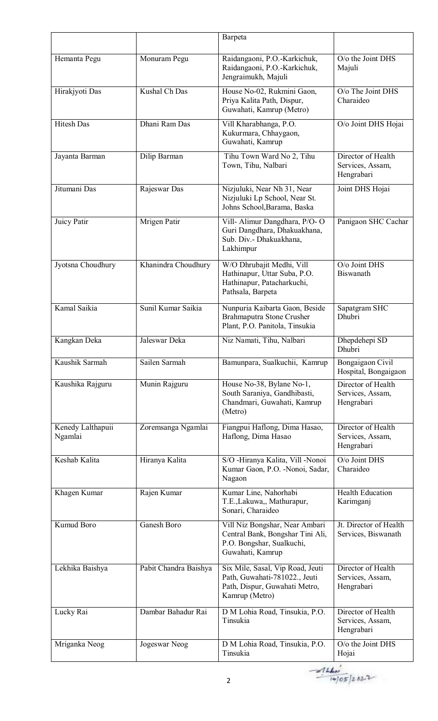|                              |                       | Barpeta                                                                                                              |                                                      |
|------------------------------|-----------------------|----------------------------------------------------------------------------------------------------------------------|------------------------------------------------------|
| Hemanta Pegu                 | Monuram Pegu          | Raidangaoni, P.O.-Karkichuk,<br>Raidangaoni, P.O.-Karkichuk,<br>Jengraimukh, Majuli                                  | $O$ / $\alpha$ the Joint DHS<br>Majuli               |
| Hirakjyoti Das               | Kushal Ch Das         | House No-02, Rukmini Gaon,<br>Priya Kalita Path, Dispur,<br>Guwahati, Kamrup (Metro)                                 | O/o The Joint DHS<br>Charaideo                       |
| <b>Hitesh Das</b>            | Dhani Ram Das         | Vill Kharabhanga, P.O.<br>Kukurmara, Chhaygaon,<br>Guwahati, Kamrup                                                  | O/o Joint DHS Hojai                                  |
| Jayanta Barman               | Dilip Barman          | Tihu Town Ward No 2, Tihu<br>Town, Tihu, Nalbari                                                                     | Director of Health<br>Services, Assam,<br>Hengrabari |
| Jitumani Das                 | Rajeswar Das          | Nizjuluki, Near Nh 31, Near<br>Nizjuluki Lp School, Near St.<br>Johns School, Barama, Baska                          | Joint DHS Hojai                                      |
| Juicy Patir                  | Mrigen Patir          | Vill- Alimur Dangdhara, P/O- O<br>Guri Dangdhara, Dhakuakhana,<br>Sub. Div.- Dhakuakhana,<br>Lakhimpur               | Panigaon SHC Cachar                                  |
| Jyotsna Choudhury            | Khanindra Choudhury   | W/O Dhrubajit Medhi, Vill<br>Hathinapur, Uttar Suba, P.O.<br>Hathinapur, Patacharkuchi,<br>Pathsala, Barpeta         | O/o Joint DHS<br><b>Biswanath</b>                    |
| Kamal Saikia                 | Sunil Kumar Saikia    | Nunpuria Kaibarta Gaon, Beside<br>Brahmaputra Stone Crusher<br>Plant, P.O. Panitola, Tinsukia                        | Sapatgram SHC<br><b>Dhubri</b>                       |
| Kangkan Deka                 | Jaleswar Deka         | Niz Namati, Tihu, Nalbari                                                                                            | Dhepdehepi SD<br>Dhubri                              |
| Kaushik Sarmah               | Sailen Sarmah         | Bamunpara, Sualkuchii, Kamrup                                                                                        | Bongaigaon Civil<br>Hospital, Bongaigaon             |
| Kaushika Rajguru             | Munin Rajguru         | House No-38, Bylane No-1,<br>South Saraniya, Gandhibasti,<br>Chandmari, Guwahati, Kamrup<br>(Metro)                  | Director of Health<br>Services, Assam,<br>Hengrabari |
| Kenedy Lalthapuii<br>Ngamlai | Zoremsanga Ngamlai    | Fiangpui Haflong, Dima Hasao,<br>Haflong, Dima Hasao                                                                 | Director of Health<br>Services, Assam,<br>Hengrabari |
| Keshab Kalita                | Hiranya Kalita        | S/O -Hiranya Kalita, Vill -Nonoi<br>Kumar Gaon, P.O. - Nonoi, Sadar,<br>Nagaon                                       | O/o Joint DHS<br>Charaideo                           |
| Khagen Kumar                 | Rajen Kumar           | Kumar Line, Nahorhabi<br>T.E., Lakuwa,, Mathurapur,<br>Sonari, Charaideo                                             | <b>Health Education</b><br>Karimganj                 |
| Kumud Boro                   | Ganesh Boro           | Vill Niz Bongshar, Near Ambari<br>Central Bank, Bongshar Tini Ali,<br>P.O. Bongshar, Sualkuchi,<br>Guwahati, Kamrup  | Jt. Director of Health<br>Services, Biswanath        |
| Lekhika Baishya              | Pabit Chandra Baishya | Six Mile, Sasal, Vip Road, Jeuti<br>Path, Guwahati-781022., Jeuti<br>Path, Dispur, Guwahati Metro,<br>Kamrup (Metro) | Director of Health<br>Services, Assam,<br>Hengrabari |
| Lucky Rai                    | Dambar Bahadur Rai    | D M Lohia Road, Tinsukia, P.O.<br>Tinsukia                                                                           | Director of Health<br>Services, Assam,<br>Hengrabari |
| Mriganka Neog                | Jogeswar Neog         | D M Lohia Road, Tinsukia, P.O.<br>Tinsukia                                                                           | O/o the Joint DHS<br>Hojai                           |

 $-414.60$ <br>(4/05/2022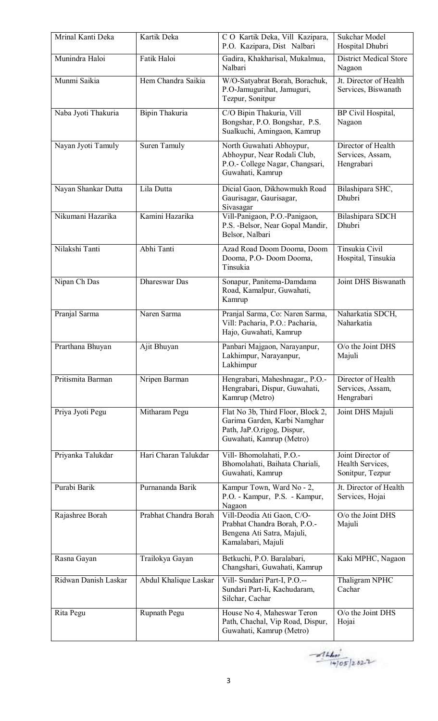| Mrinal Kanti Deka    | Kartik Deka           | CO Kartik Deka, Vill Kazipara,<br>P.O. Kazipara, Dist Nalbari                                                               | <b>Sukchar Model</b><br>Hospital Dhubri                   |
|----------------------|-----------------------|-----------------------------------------------------------------------------------------------------------------------------|-----------------------------------------------------------|
| Munindra Haloi       | Fatik Haloi           | Gadira, Khakharisal, Mukalmua,<br>Nalbari                                                                                   | <b>District Medical Store</b><br>Nagaon                   |
| Munmi Saikia         | Hem Chandra Saikia    | W/O-Satyabrat Borah, Borachuk,<br>P.O-Jamugurihat, Jamuguri,<br>Tezpur, Sonitpur                                            | Jt. Director of Health<br>Services, Biswanath             |
| Naba Jyoti Thakuria  | Bipin Thakuria        | C/O Bipin Thakuria, Vill<br>Bongshar, P.O. Bongshar, P.S.<br>Sualkuchi, Amingaon, Kamrup                                    | BP Civil Hospital,<br>Nagaon                              |
| Nayan Jyoti Tamuly   | <b>Suren Tamuly</b>   | North Guwahati Abhoypur,<br>Abhoypur, Near Rodali Club,<br>P.O.- College Nagar, Changsari,<br>Guwahati, Kamrup              | Director of Health<br>Services, Assam,<br>Hengrabari      |
| Nayan Shankar Dutta  | Lila Dutta            | Dicial Gaon, Dikhowmukh Road<br>Gaurisagar, Gaurisagar,<br>Sivasagar                                                        | Bilashipara SHC,<br>Dhubri                                |
| Nikumani Hazarika    | Kamini Hazarika       | Vill-Panigaon, P.O.-Panigaon,<br>P.S. - Belsor, Near Gopal Mandir,<br>Belsor, Nalbari                                       | Bilashipara SDCH<br>Dhubri                                |
| Nilakshi Tanti       | Abhi Tanti            | Azad Road Doom Dooma, Doom<br>Dooma, P.O- Doom Dooma,<br>Tinsukia                                                           | Tinsukia Civil<br>Hospital, Tinsukia                      |
| Nipan Ch Das         | Dhareswar Das         | Sonapur, Panitema-Damdama<br>Road, Kamalpur, Guwahati,<br>Kamrup                                                            | Joint DHS Biswanath                                       |
| Pranjal Sarma        | Naren Sarma           | Pranjal Sarma, Co: Naren Sarma,<br>Vill: Pacharia, P.O.: Pacharia,<br>Hajo, Guwahati, Kamrup                                | Naharkatia SDCH,<br>Naharkatia                            |
| Prarthana Bhuyan     | Ajit Bhuyan           | Panbari Majgaon, Narayanpur,<br>Lakhimpur, Narayanpur,<br>Lakhimpur                                                         | O/o the Joint DHS<br>Majuli                               |
| Pritismita Barman    | Nripen Barman         | Hengrabari, Maheshnagar,, P.O.-<br>Hengrabari, Dispur, Guwahati,<br>Kamrup (Metro)                                          | Director of Health<br>Services, Assam,<br>Hengrabari      |
| Priya Jyoti Pegu     | Mitharam Pegu         | Flat No 3b, Third Floor, Block 2,<br>Garima Garden, Karbi Namghar<br>Path, JaP.O.rigog, Dispur,<br>Guwahati, Kamrup (Metro) | Joint DHS Majuli                                          |
| Priyanka Talukdar    | Hari Charan Talukdar  | Vill-Bhomolahati, P.O.-<br>Bhomolahati, Baihata Chariali,<br>Guwahati, Kamrup                                               | Joint Director of<br>Health Services,<br>Sonitpur, Tezpur |
| Purabi Barik         | Purnananda Barik      | Kampur Town, Ward No - 2,<br>P.O. - Kampur, P.S. - Kampur,<br>Nagaon                                                        | Jt. Director of Health<br>Services, Hojai                 |
| Rajashree Borah      | Prabhat Chandra Borah | Vill-Deodia Ati Gaon, C/O-<br>Prabhat Chandra Borah, P.O.-<br>Bengena Ati Satra, Majuli,<br>Kamalabari, Majuli              | $O$ / $\alpha$ the Joint DHS<br>Majuli                    |
| Rasna Gayan          | Trailokya Gayan       | Betkuchi, P.O. Baralabari,<br>Changshari, Guwahati, Kamrup                                                                  | Kaki MPHC, Nagaon                                         |
| Ridwan Danish Laskar | Abdul Khalique Laskar | Vill- Sundari Part-I, P.O.--<br>Sundari Part-Ii, Kachudaram,<br>Silchar, Cachar                                             | Thaligram NPHC<br>Cachar                                  |
| Rita Pegu            | Rupnath Pegu          | House No 4, Maheswar Teron<br>Path, Chachal, Vip Road, Dispur,<br>Guwahati, Kamrup (Metro)                                  | O/o the Joint DHS<br>Hojai                                |

 $-414400$ <br> $(405)2822$